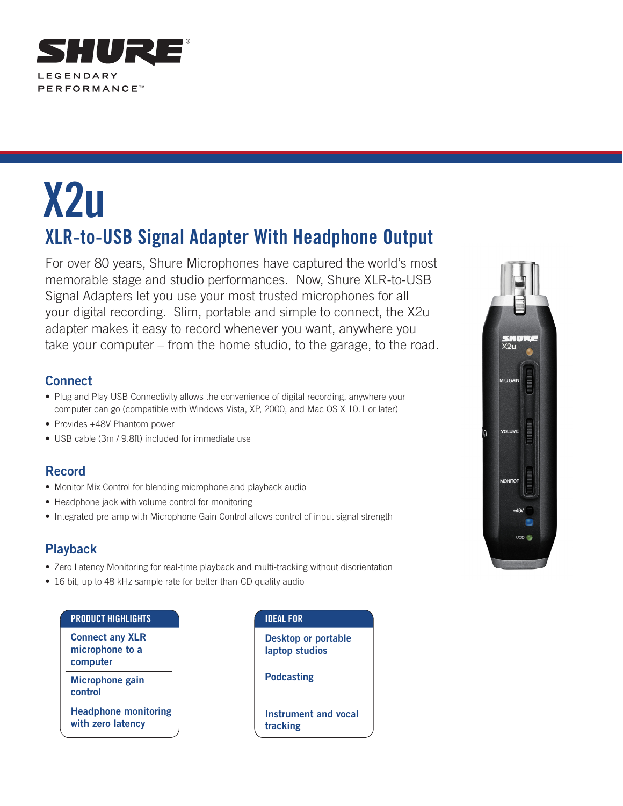

# **X2u XLR-to-USB Signal Adapter With Headphone Output**

For over 80 years, Shure Microphones have captured the world's most memorable stage and studio performances. Now, Shure XLR-to-USB Signal Adapters let you use your most trusted microphones for all your digital recording. Slim, portable and simple to connect, the X2u adapter makes it easy to record whenever you want, anywhere you take your computer – from the home studio, to the garage, to the road.

### **Connect**

- Plug and Play USB Connectivity allows the convenience of digital recording, anywhere your computer can go (compatible with Windows Vista, XP, 2000, and Mac OS X 10.1 or later)
- Provides +48V Phantom power
- USB cable (3m / 9.8ft) included for immediate use

### **Record**

- Monitor Mix Control for blending microphone and playback audio
- Headphone jack with volume control for monitoring
- Integrated pre-amp with Microphone Gain Control allows control of input signal strength

## **Playback**

- Zero Latency Monitoring for real-time playback and multi-tracking without disorientation
- 16 bit, up to 48 kHz sample rate for better-than-CD quality audio

#### **Product Highlights**

**Connect any XLR microphone to a computer Microphone gain control Headphone monitoring** 

**with zero latency**

| <b>IDEAL FOR</b>                             |
|----------------------------------------------|
| <b>Desktop or portable</b><br>laptop studios |
| <b>Podcasting</b>                            |
| Instrument and vocal<br>tracking             |
|                                              |